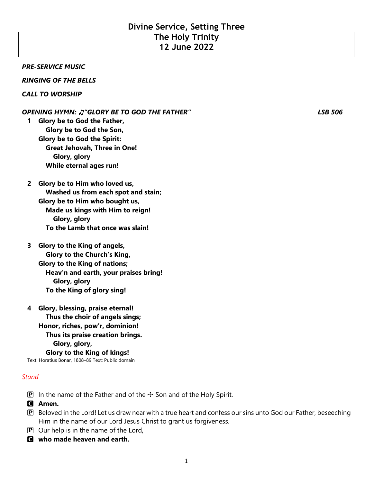# **Divine Service, Setting Three**

## **The Holy Trinity 12 June 2022**

#### *PRE-SERVICE MUSIC*

#### *RINGING OF THE BELLS*

#### *CALL TO WORSHIP*

#### *OPENING HYMN:* ♫*"GLORY BE TO GOD THE FATHER" LSB 506*

**1 Glory be to God the Father, Glory be to God the Son, Glory be to God the Spirit: Great Jehovah, Three in One! Glory, glory While eternal ages run!**

## **2 Glory be to Him who loved us, Washed us from each spot and stain; Glory be to Him who bought us, Made us kings with Him to reign! Glory, glory To the Lamb that once was slain!**

## **3 Glory to the King of angels, Glory to the Church's King, Glory to the King of nations; Heav'n and earth, your praises bring! Glory, glory To the King of glory sing!**

## **4 Glory, blessing, praise eternal! Thus the choir of angels sings; Honor, riches, pow'r, dominion! Thus its praise creation brings. Glory, glory, Glory to the King of kings!** Text: Horatius Bonar, 1808–89 Text: Public domain

#### *Stand*

- **P** In the name of the Father and of the  $\pm$  Son and of the Holy Spirit.
- C **Amen.**
- $\mathbf P$  Beloved in the Lord! Let us draw near with a true heart and confess our sins unto God our Father, beseeching Him in the name of our Lord Jesus Christ to grant us forgiveness.
- $\mathbf{P}$  Our help is in the name of the Lord,
- C **who made heaven and earth.**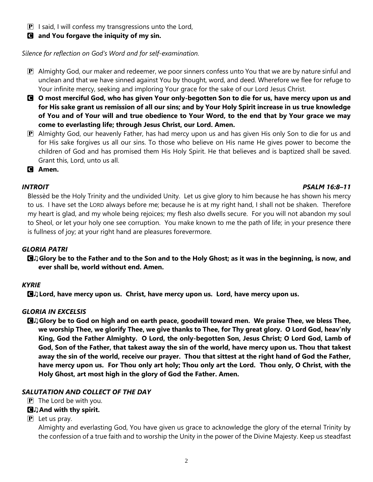$\mathbf{P}$  I said, I will confess my transgressions unto the Lord,

C **and You forgave the iniquity of my sin.**

*Silence for reflection on God's Word and for self-examination.*

- $\mathbf P$  Almighty God, our maker and redeemer, we poor sinners confess unto You that we are by nature sinful and unclean and that we have sinned against You by thought, word, and deed. Wherefore we flee for refuge to Your infinite mercy, seeking and imploring Your grace for the sake of our Lord Jesus Christ.
- C **O most merciful God, who has given Your only-begotten Son to die for us, have mercy upon us and for His sake grant us remission of all our sins; and by Your Holy Spirit increase in us true knowledge of You and of Your will and true obedience to Your Word, to the end that by Your grace we may come to everlasting life; through Jesus Christ, our Lord. Amen.**
- P Almighty God, our heavenly Father, has had mercy upon us and has given His only Son to die for us and for His sake forgives us all our sins. To those who believe on His name He gives power to become the children of God and has promised them His Holy Spirit. He that believes and is baptized shall be saved. Grant this, Lord, unto us all.
- C **Amen.**

#### *INTROIT PSALM 16:8–11*

Blessèd be the Holy Trinity and the undivided Unity. Let us give glory to him because he has shown his mercy to us. I have set the LORD always before me; because he is at my right hand, I shall not be shaken. Therefore my heart is glad, and my whole being rejoices; my flesh also dwells secure. For you will not abandon my soul to Sheol, or let your holy one see corruption. You make known to me the path of life; in your presence there is fullness of joy; at your right hand are pleasures forevermore.

## *GLORIA PATRI*

C♫**Glory be to the Father and to the Son and to the Holy Ghost; as it was in the beginning, is now, and ever shall be, world without end. Amen.**

## *KYRIE*

C♫**Lord, have mercy upon us. Christ, have mercy upon us. Lord, have mercy upon us.**

## *GLORIA IN EXCELSIS*

C♫**Glory be to God on high and on earth peace, goodwill toward men. We praise Thee, we bless Thee, we worship Thee, we glorify Thee, we give thanks to Thee, for Thy great glory. O Lord God, heav'nly King, God the Father Almighty. O Lord, the only-begotten Son, Jesus Christ; O Lord God, Lamb of God, Son of the Father, that takest away the sin of the world, have mercy upon us. Thou that takest away the sin of the world, receive our prayer. Thou that sittest at the right hand of God the Father, have mercy upon us. For Thou only art holy; Thou only art the Lord. Thou only, O Christ, with the Holy Ghost, art most high in the glory of God the Father. Amen.**

#### *SALUTATION AND COLLECT OF THE DAY*

- $\mathbf{P}$  The Lord be with you.
- C♫**And with thy spirit.**
- $\overline{P}$  Let us pray.

Almighty and everlasting God, You have given us grace to acknowledge the glory of the eternal Trinity by the confession of a true faith and to worship the Unity in the power of the Divine Majesty. Keep us steadfast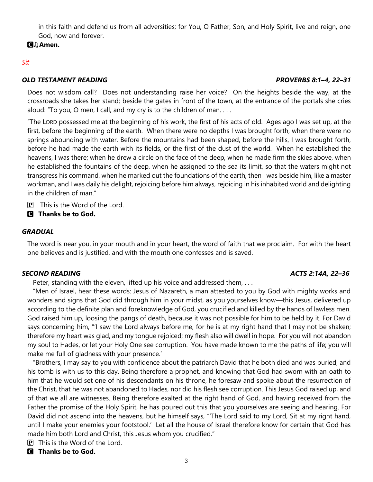in this faith and defend us from all adversities; for You, O Father, Son, and Holy Spirit, live and reign, one God, now and forever.

## C♫**Amen.**

## *Sit*

## *OLD TESTAMENT READING PROVERBS 8:1–4, 22–31*

Does not wisdom call? Does not understanding raise her voice? On the heights beside the way, at the crossroads she takes her stand; beside the gates in front of the town, at the entrance of the portals she cries aloud: "To you, O men, I call, and my cry is to the children of man. . . .

"The LORD possessed me at the beginning of his work, the first of his acts of old. Ages ago I was set up, at the first, before the beginning of the earth. When there were no depths I was brought forth, when there were no springs abounding with water. Before the mountains had been shaped, before the hills, I was brought forth, before he had made the earth with its fields, or the first of the dust of the world. When he established the heavens, I was there; when he drew a circle on the face of the deep, when he made firm the skies above, when he established the fountains of the deep, when he assigned to the sea its limit, so that the waters might not transgress his command, when he marked out the foundations of the earth, then I was beside him, like a master workman, and I was daily his delight, rejoicing before him always, rejoicing in his inhabited world and delighting in the children of man."

- $\mathbf{P}$  This is the Word of the Lord.
- C **Thanks be to God.**

## *GRADUAL*

The word is near you, in your mouth and in your heart, the word of faith that we proclaim. For with the heart one believes and is justified, and with the mouth one confesses and is saved.

## *SECOND READING ACTS 2:14A, 22–36*

Peter, standing with the eleven, lifted up his voice and addressed them, . . .

 "Men of Israel, hear these words: Jesus of Nazareth, a man attested to you by God with mighty works and wonders and signs that God did through him in your midst, as you yourselves know—this Jesus, delivered up according to the definite plan and foreknowledge of God, you crucified and killed by the hands of lawless men. God raised him up, loosing the pangs of death, because it was not possible for him to be held by it. For David says concerning him, "'I saw the Lord always before me, for he is at my right hand that I may not be shaken; therefore my heart was glad, and my tongue rejoiced; my flesh also will dwell in hope. For you will not abandon my soul to Hades, or let your Holy One see corruption. You have made known to me the paths of life; you will make me full of gladness with your presence.'

 "Brothers, I may say to you with confidence about the patriarch David that he both died and was buried, and his tomb is with us to this day. Being therefore a prophet, and knowing that God had sworn with an oath to him that he would set one of his descendants on his throne, he foresaw and spoke about the resurrection of the Christ, that he was not abandoned to Hades, nor did his flesh see corruption. This Jesus God raised up, and of that we all are witnesses. Being therefore exalted at the right hand of God, and having received from the Father the promise of the Holy Spirit, he has poured out this that you yourselves are seeing and hearing. For David did not ascend into the heavens, but he himself says, "'The Lord said to my Lord, Sit at my right hand, until I make your enemies your footstool.' Let all the house of Israel therefore know for certain that God has made him both Lord and Christ, this Jesus whom you crucified."

- $\mathbf{P}$  This is the Word of the Lord.
- C **Thanks be to God.**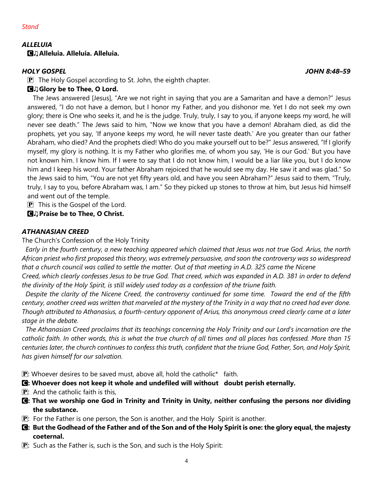#### *ALLELUIA* C♫**Alleluia. Alleluia. Alleluia.**

## *HOLY GOSPEL JOHN 8:48–59*

 $\mathbf{P}$  The Holy Gospel according to St. John, the eighth chapter.

## C♫**Glory be to Thee, O Lord.**

 The Jews answered [Jesus], "Are we not right in saying that you are a Samaritan and have a demon?" Jesus answered, "I do not have a demon, but I honor my Father, and you dishonor me. Yet I do not seek my own glory; there is One who seeks it, and he is the judge. Truly, truly, I say to you, if anyone keeps my word, he will never see death." The Jews said to him, "Now we know that you have a demon! Abraham died, as did the prophets, yet you say, 'If anyone keeps my word, he will never taste death.' Are you greater than our father Abraham, who died? And the prophets died! Who do you make yourself out to be?" Jesus answered, "If I glorify myself, my glory is nothing. It is my Father who glorifies me, of whom you say, 'He is our God.' But you have not known him. I know him. If I were to say that I do not know him, I would be a liar like you, but I do know him and I keep his word. Your father Abraham rejoiced that he would see my day. He saw it and was glad." So the Jews said to him, "You are not yet fifty years old, and have you seen Abraham?" Jesus said to them, "Truly, truly, I say to you, before Abraham was, I am." So they picked up stones to throw at him, but Jesus hid himself and went out of the temple.

 $\mathbf{P}$  This is the Gospel of the Lord.

C♫**Praise be to Thee, O Christ.**

## *ATHANASIAN CREED*

The Church's Confession of the Holy Trinity

 *Early in the fourth century, a new teaching appeared which claimed that Jesus was not true God. Arius, the north African priest who first proposed this theory, was extremely persuasive, and soon the controversy was so widespread that a church council was called to settle the matter. Out of that meeting in A.D. 325 came the Nicene Creed, which clearly confesses Jesus to be true God. That creed, which was expanded in A.D. 381 in order to defend* 

*the divinity of the Holy Spirit, is still widely used today as a confession of the triune faith.* 

 *Despite the clarity of the Nicene Creed, the controversy continued for some time. Toward the end of the fifth century, another creed was written that marveled at the mystery of the Trinity in a way that no creed had ever done. Though attributed to Athanasius, a fourth-century opponent of Arius, this anonymous creed clearly came at a later stage in the debate.*

 *The Athanasian Creed proclaims that its teachings concerning the Holy Trinity and our Lord's incarnation are the catholic faith. In other words, this is what the true church of all times and all places has confessed. More than 15 centuries later, the church continues to confess this truth, confident that the triune God, Father, Son, and Holy Spirit, has given himself for our salvation.*

 $\mathbf{P}$ : Whoever desires to be saved must, above all, hold the catholic<sup>\*</sup> faith.

- C**: Whoever does not keep it whole and undefiled will without doubt perish eternally.**
- $\boxed{\mathbf{P}}$ : And the catholic faith is this,
- C**: That we worship one God in Trinity and Trinity in Unity, neither confusing the persons nor dividing the substance.**
- $\mathbf{P}$ : For the Father is one person, the Son is another, and the Holy Spirit is another.
- C**: But the Godhead of the Father and of the Son and of the Holy Spirit is one: the glory equal, the majesty coeternal.**

4

**P**: Such as the Father is, such is the Son, and such is the Holy Spirit: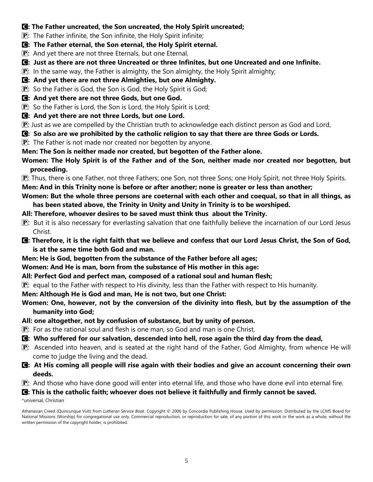#### C**: The Father uncreated, the Son uncreated, the Holy Spirit uncreated;**

- $\mathbf{P}$ : The Father infinite, the Son infinite, the Holy Spirit infinite;
- C**: The Father eternal, the Son eternal, the Holy Spirit eternal.**
- $\mathbf{P}$ : And yet there are not three Eternals, but one Eternal,
- C**: Just as there are not three Uncreated or three Infinites, but one Uncreated and one Infinite.**

 $\mathbf{P}$ : In the same way, the Father is almighty, the Son almighty, the Holy Spirit almighty;

- C**: And yet there are not three Almighties, but one Almighty.**
- **P**: So the Father is God, the Son is God, the Holy Spirit is God;
- C**: And yet there are not three Gods, but one God.**
- P: So the Father is Lord, the Son is Lord, the Holy Spirit is Lord;
- C**: And yet there are not three Lords, but one Lord.**

P: Just as we are compelled by the Christian truth to acknowledge each distinct person as God and Lord,

- C**: So also are we prohibited by the catholic religion to say that there are three Gods or Lords.**
- $\mathbf{P}$ : The Father is not made nor created nor begotten by anyone.
- **Men: The Son is neither made nor created, but begotten of the Father alone.**
- **Women: The Holy Spirit is of the Father and of the Son, neither made nor created nor begotten, but proceeding.**

 $\mathbf{P}$ : Thus, there is one Father, not three Fathers; one Son, not three Sons; one Holy Spirit, not three Holy Spirits.

**Men: And in this Trinity none is before or after another; none is greater or less than another;**

## **Women: But the whole three persons are coeternal with each other and coequal, so that in all things, as has been stated above, the Trinity in Unity and Unity in Trinity is to be worshiped.**

- **All: Therefore, whoever desires to be saved must think thus about the Trinity.**
- $\mathbf{P}$ : But it is also necessary for everlasting salvation that one faithfully believe the incarnation of our Lord Jesus Christ.
- C**: Therefore, it is the right faith that we believe and confess that our Lord Jesus Christ, the Son of God, is at the same time both God and man.**
- **Men: He is God, begotten from the substance of the Father before all ages;**
- **Women: And He is man, born from the substance of His mother in this age:**
- **All: Perfect God and perfect man, composed of a rational soul and human flesh;**
- $\mathbf{P}$ : equal to the Father with respect to His divinity, less than the Father with respect to His humanity.
- **Men: Although He is God and man, He is not two, but one Christ:**

## **Women: One, however, not by the conversion of the divinity into flesh, but by the assumption of the humanity into God;**

- **All: one altogether, not by confusion of substance, but by unity of person.**
- $\mathbf{P}$ : For as the rational soul and flesh is one man, so God and man is one Christ,
- C**: Who suffered for our salvation, descended into hell, rose again the third day from the dead,**
- $\mathbf{P}$ : Ascended into heaven, and is seated at the right hand of the Father, God Almighty, from whence He will come to judge the living and the dead.
- C**: At His coming all people will rise again with their bodies and give an account concerning their own deeds.**
- $\mathbf{P}$ : And those who have done good will enter into eternal life, and those who have done evil into eternal fire.

## C**: This is the catholic faith; whoever does not believe it faithfully and firmly cannot be saved.**

\*universal, Christian

Athanasian Creed (Quincunque Vult) from *Lutheran Service Book*. Copyright © 2006 by Concordia Publishing House. Used by permission. Distributed by the LCMS Board for National Missions (Worship) for congregational use only. Commercial reproduction, or reproduction for sale, of any portion of this work or the work as a whole, without the written permission of the copyright holder, is prohibited.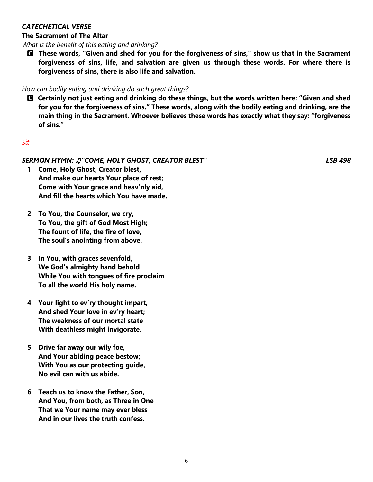#### *CATECHETICAL VERSE*

#### **The Sacrament of The Altar**

*What is the benefit of this eating and drinking?*

C **These words, "Given and shed for you for the forgiveness of sins," show us that in the Sacrament forgiveness of sins, life, and salvation are given us through these words. For where there is forgiveness of sins, there is also life and salvation.**

#### *How can bodily eating and drinking do such great things?*

C **Certainly not just eating and drinking do these things, but the words written here: "Given and shed for you for the forgiveness of sins." These words, along with the bodily eating and drinking, are the main thing in the Sacrament. Whoever believes these words has exactly what they say: "forgiveness of sins."**

#### *Sit*

#### *SERMON HYMN:* ♫*"COME, HOLY GHOST, CREATOR BLEST" LSB 498*

- **1 Come, Holy Ghost, Creator blest, And make our hearts Your place of rest; Come with Your grace and heav'nly aid, And fill the hearts which You have made.**
- **2 To You, the Counselor, we cry, To You, the gift of God Most High; The fount of life, the fire of love, The soul's anointing from above.**
- **3 In You, with graces sevenfold, We God's almighty hand behold While You with tongues of fire proclaim To all the world His holy name.**
- **4 Your light to ev'ry thought impart, And shed Your love in ev'ry heart; The weakness of our mortal state With deathless might invigorate.**
- **5 Drive far away our wily foe, And Your abiding peace bestow; With You as our protecting guide, No evil can with us abide.**
- **6 Teach us to know the Father, Son, And You, from both, as Three in One That we Your name may ever bless And in our lives the truth confess.**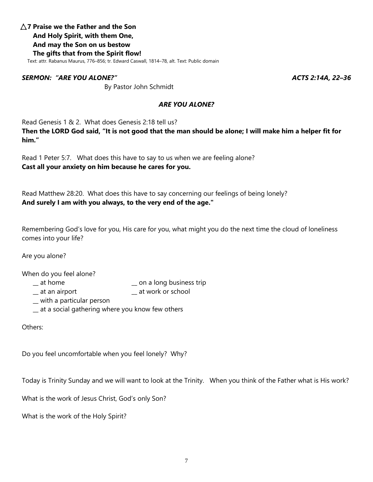## D **7 Praise we the Father and the Son And Holy Spirit, with them One, And may the Son on us bestow The gifts that from the Spirit flow!**

Text: attr. Rabanus Maurus, 776–856; tr. Edward Caswall, 1814–78, alt. Text: Public domain

#### *SERMON: "ARE YOU ALONE?" ACTS 2:14A, 22–36*

By Pastor John Schmidt

#### *ARE YOU ALONE?*

Read Genesis 1 & 2. What does Genesis 2:18 tell us?

**Then the LORD God said, "It is not good that the man should be alone; I will make him a helper fit for him."**

Read 1 Peter 5:7. What does this have to say to us when we are feeling alone? **Cast all your anxiety on him because he cares for you.**

Read Matthew 28:20. What does this have to say concerning our feelings of being lonely? **And surely I am with you always, to the very end of the age."**

Remembering God's love for you, His care for you, what might you do the next time the cloud of loneliness comes into your life?

Are you alone?

When do you feel alone?

- 
- $\equiv$  at home  $\equiv$  on a long business trip
- \_\_ at an airport \_\_ at work or school
- \_\_ with a particular person
- \_\_ at a social gathering where you know few others

Others:

Do you feel uncomfortable when you feel lonely? Why?

Today is Trinity Sunday and we will want to look at the Trinity. When you think of the Father what is His work?

What is the work of Jesus Christ, God's only Son?

What is the work of the Holy Spirit?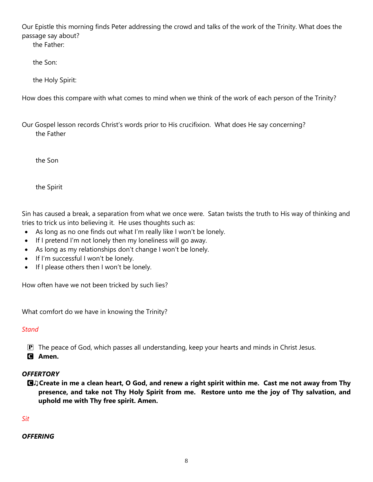Our Epistle this morning finds Peter addressing the crowd and talks of the work of the Trinity. What does the passage say about?

the Father:

the Son:

the Holy Spirit:

How does this compare with what comes to mind when we think of the work of each person of the Trinity?

Our Gospel lesson records Christ's words prior to His crucifixion. What does He say concerning? the Father

the Son

the Spirit

Sin has caused a break, a separation from what we once were. Satan twists the truth to His way of thinking and tries to trick us into believing it. He uses thoughts such as:

- As long as no one finds out what I'm really like I won't be lonely.
- If I pretend I'm not lonely then my loneliness will go away.
- As long as my relationships don't change I won't be lonely.
- If I'm successful I won't be lonely.
- If I please others then I won't be lonely.

How often have we not been tricked by such lies?

What comfort do we have in knowing the Trinity?

## *Stand*

 $\mathbf{P}$  The peace of God, which passes all understanding, keep your hearts and minds in Christ Jesus.

C **Amen.**

## *OFFERTORY*

C♫**Create in me a clean heart, O God, and renew a right spirit within me. Cast me not away from Thy presence, and take not Thy Holy Spirit from me. Restore unto me the joy of Thy salvation, and uphold me with Thy free spirit. Amen.**

## *Sit*

## *OFFERING*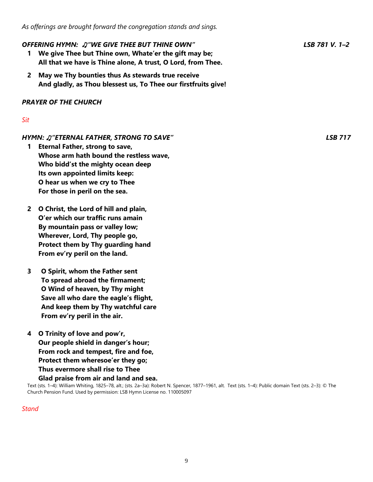#### *OFFERING HYMN:* ♫*"WE GIVE THEE BUT THINE OWN" LSB 781 V. 1–2*

- **1 We give Thee but Thine own, Whate'er the gift may be; All that we have is Thine alone, A trust, O Lord, from Thee.**
- **2 May we Thy bounties thus As stewards true receive And gladly, as Thou blessest us, To Thee our firstfruits give!**

#### *PRAYER OF THE CHURCH*

#### *Sit*

#### *HYMN:* ♫*"ETERNAL FATHER, STRONG TO SAVE" LSB 717*

- **1 Eternal Father, strong to save, Whose arm hath bound the restless wave, Who bidd'st the mighty ocean deep Its own appointed limits keep: O hear us when we cry to Thee For those in peril on the sea.**
- **2 O Christ, the Lord of hill and plain, O'er which our traffic runs amain By mountain pass or valley low; Wherever, Lord, Thy people go, Protect them by Thy guarding hand From ev'ry peril on the land.**
- **3 O Spirit, whom the Father sent To spread abroad the firmament; O Wind of heaven, by Thy might Save all who dare the eagle's flight, And keep them by Thy watchful care From ev'ry peril in the air.**
- **4 O Trinity of love and pow'r, Our people shield in danger's hour; From rock and tempest, fire and foe, Protect them wheresoe'er they go; Thus evermore shall rise to Thee**

#### **Glad praise from air and land and sea.**

Text (sts. 1–4): William Whiting, 1825–78, alt.; (sts. 2a–3a): Robert N. Spencer, 1877–1961, alt. Text (sts. 1–4): Public domain Text (sts. 2–3): © The Church Pension Fund. Used by permission: LSB Hymn License no. 110005097

#### *Stand*

9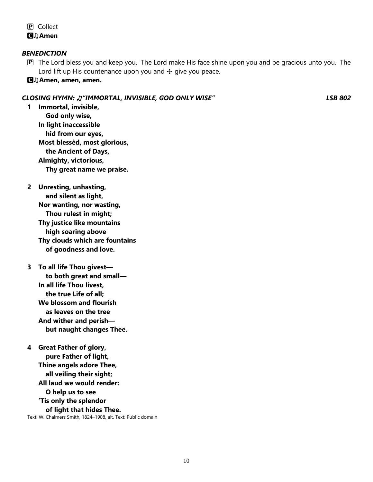P Collect C♫**Amen**

#### *BENEDICTION*

- $\mathbf{P}$  The Lord bless you and keep you. The Lord make His face shine upon you and be gracious unto you. The Lord lift up His countenance upon you and  $\pm$  give you peace.
- C♫**Amen, amen, amen.**

#### *CLOSING HYMN:* ♫*"IMMORTAL, INVISIBLE, GOD ONLY WISE" LSB 802*

- **1 Immortal, invisible, God only wise, In light inaccessible hid from our eyes, Most blessèd, most glorious, the Ancient of Days, Almighty, victorious, Thy great name we praise.**
- **2 Unresting, unhasting, and silent as light, Nor wanting, nor wasting, Thou rulest in might; Thy justice like mountains high soaring above Thy clouds which are fountains of goodness and love.**
- **3 To all life Thou givest to both great and small— In all life Thou livest, the true Life of all; We blossom and flourish as leaves on the tree And wither and perish but naught changes Thee.**
- **4 Great Father of glory, pure Father of light, Thine angels adore Thee, all veiling their sight; All laud we would render: O help us to see 'Tis only the splendor of light that hides Thee.** Text: W. Chalmers Smith, 1824–1908, alt. Text: Public domain